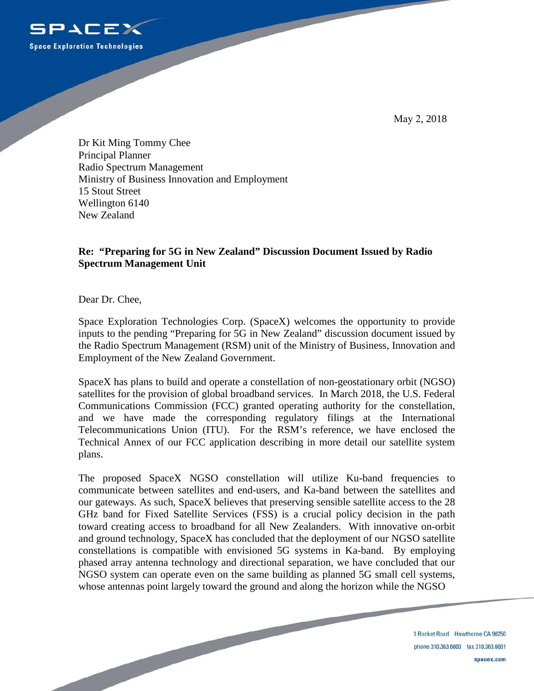

May 2, 2018

Dr Kit Ming Tommy Chee Principal Planner Radio Spectrum Management Ministry of Business Innovation and Employment 15 Stout Street Wellington 6140 New Zealand

## **Re: "Preparing for 5G in New Zealand" Discussion Document Issued by Radio Spectrum Management Unit**

Dear Dr. Chee,

Space Exploration Technologies Corp. (SpaceX) welcomes the opportunity to provide inputs to the pending "Preparing for 5G in New Zealand" discussion document issued by the Radio Spectrum Management (RSM) unit of the Ministry of Business, Innovation and Employment of the New Zealand Government.

SpaceX has plans to build and operate a constellation of non-geostationary orbit (NGSO) satellites for the provision of global broadband services. In March 2018, the U.S. Federal Communications Commission (FCC) granted operating authority for the constellation, and we have made the corresponding regulatory filings at the International Telecommunications Union (ITU). For the RSM's reference, we have enclosed the Technical Annex of our FCC application describing in more detail our satellite system plans.

The proposed SpaceX NGSO constellation will utilize Ku-band frequencies to communicate between satellites and end-users, and Ka-band between the satellites and our gateways. As such, SpaceX believes that preserving sensible satellite access to the 28 GHz band for Fixed Satellite Services (FSS) is a crucial policy decision in the path toward creating access to broadband for all New Zealanders. With innovative on-orbit and ground technology, SpaceX has concluded that the deployment of our NGSO satellite constellations is compatible with envisioned 5G systems in Ka-band. By employing phased array antenna technology and directional separation, we have concluded that our NGSO system can operate even on the same building as planned 5G small cell systems, whose antennas point largely toward the ground and along the horizon while the NGSO

> 1 Rocket Road Hawthorne CA 90250 phone 310.363.6000 fax 310.363.6001 spacex.com